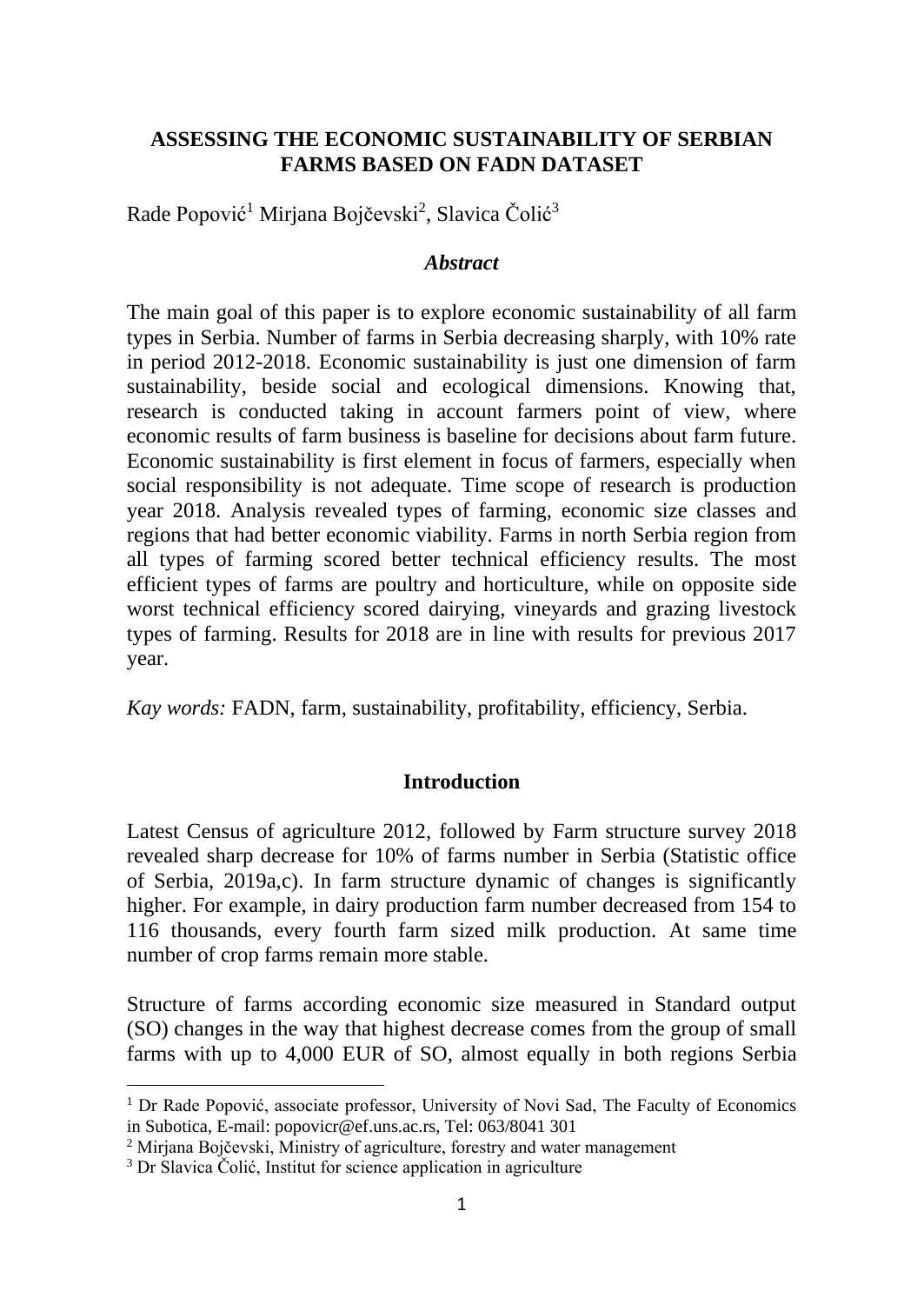## **ASSESSING THE ECONOMIC SUSTAINABILITY OF SERBIAN FARMS BASED ON FADN DATASET**

Rade Popović<sup>1</sup> Mirjana Bojčevski<sup>2</sup>, Slavica Čolić<sup>3</sup>

#### *Abstract*

The main goal of this paper is to explore economic sustainability of all farm types in Serbia. Number of farms in Serbia decreasing sharply, with 10% rate in period 2012-2018. Economic sustainability is just one dimension of farm sustainability, beside social and ecological dimensions. Knowing that, research is conducted taking in account farmers point of view, where economic results of farm business is baseline for decisions about farm future. Economic sustainability is first element in focus of farmers, especially when social responsibility is not adequate. Time scope of research is production year 2018. Analysis revealed types of farming, economic size classes and regions that had better economic viability. Farms in north Serbia region from all types of farming scored better technical efficiency results. The most efficient types of farms are poultry and horticulture, while on opposite side worst technical efficiency scored dairying, vineyards and grazing livestock types of farming. Results for 2018 are in line with results for previous 2017 year.

*Kay words:* FADN, farm, sustainability, profitability, efficiency, Serbia.

### **Introduction**

Latest Census of agriculture 2012, followed by Farm structure survey 2018 revealed sharp decrease for 10% of farms number in Serbia (Statistic office of Serbia, 2019a,c). In farm structure dynamic of changes is significantly higher. For example, in dairy production farm number decreased from 154 to 116 thousands, every fourth farm sized milk production. At same time number of crop farms remain more stable.

Structure of farms according economic size measured in Standard output (SO) changes in the way that highest decrease comes from the group of small farms with up to 4,000 EUR of SO, almost equally in both regions Serbia

<sup>&</sup>lt;sup>1</sup> Dr Rade Popović, associate professor, University of Novi Sad, The Faculty of Economics in Subotica, E-mail: popovicr@ef.uns.ac.rs, Tel: 063/8041 301

<sup>&</sup>lt;sup>2</sup> Mirjana Bojčevski, Ministry of agriculture, forestry and water management

<sup>&</sup>lt;sup>3</sup> Dr Slavica Čolić, Institut for science application in agriculture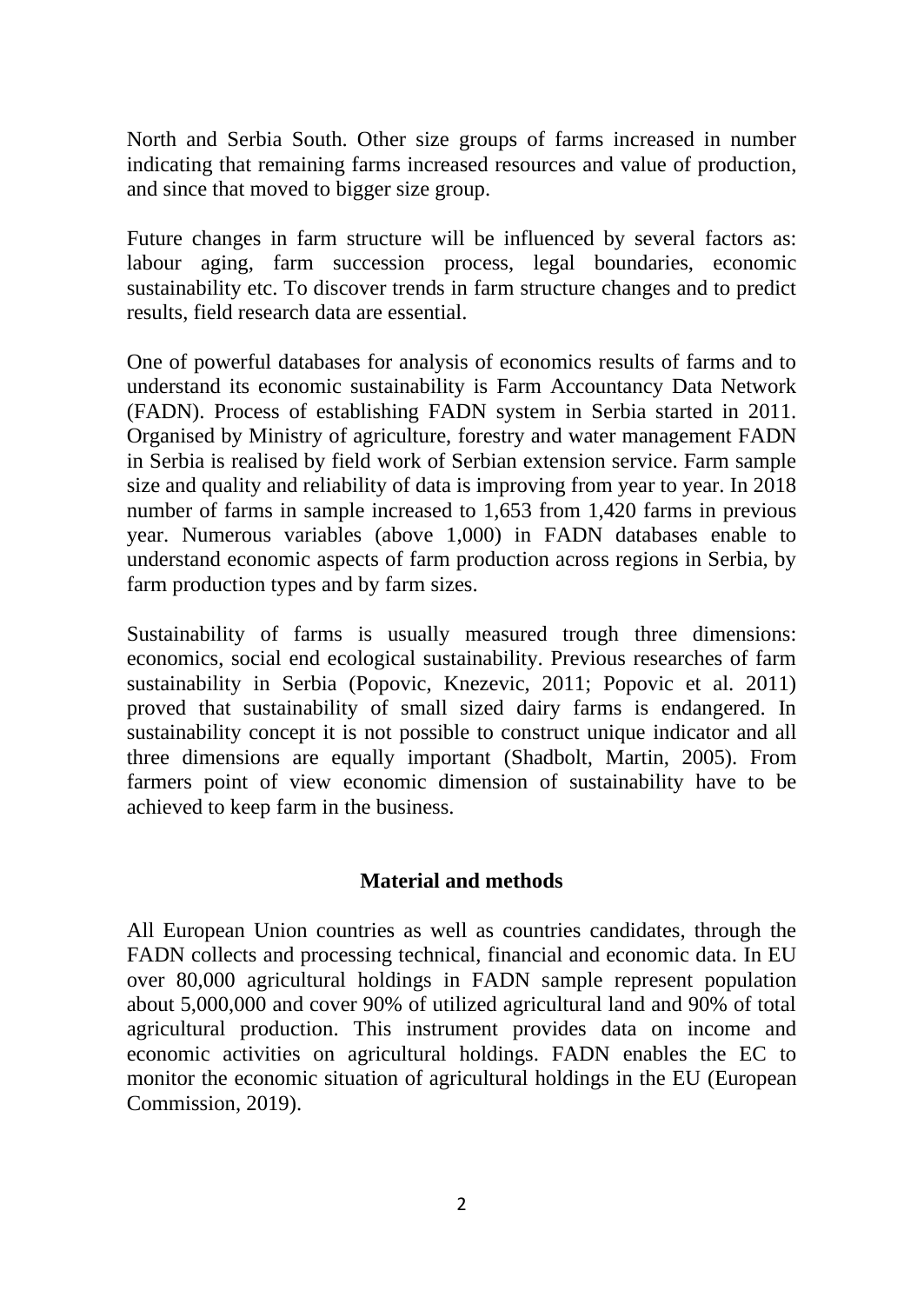North and Serbia South. Other size groups of farms increased in number indicating that remaining farms increased resources and value of production, and since that moved to bigger size group.

Future changes in farm structure will be influenced by several factors as: labour aging, farm succession process, legal boundaries, economic sustainability etc. To discover trends in farm structure changes and to predict results, field research data are essential.

One of powerful databases for analysis of economics results of farms and to understand its economic sustainability is Farm Accountancy Data Network (FADN). Process of establishing FADN system in Serbia started in 2011. Organised by Ministry of agriculture, forestry and water management FADN in Serbia is realised by field work of Serbian extension service. Farm sample size and quality and reliability of data is improving from year to year. In 2018 number of farms in sample increased to 1,653 from 1,420 farms in previous year. Numerous variables (above 1,000) in FADN databases enable to understand economic aspects of farm production across regions in Serbia, by farm production types and by farm sizes.

Sustainability of farms is usually measured trough three dimensions: economics, social end ecological sustainability. Previous researches of farm sustainability in Serbia (Popovic, Knezevic, 2011; Popovic et al. 2011) proved that sustainability of small sized dairy farms is endangered. In sustainability concept it is not possible to construct unique indicator and all three dimensions are equally important (Shadbolt, Martin, 2005). From farmers point of view economic dimension of sustainability have to be achieved to keep farm in the business.

### **Material and methods**

All European Union countries as well as countries candidates, through the FADN collects and processing technical, financial and economic data. In EU over 80,000 agricultural holdings in FADN sample represent population about 5,000,000 and cover 90% of utilized agricultural land and 90% of total agricultural production. This instrument provides data on income and economic activities on agricultural holdings. FADN enables the EC to monitor the economic situation of agricultural holdings in the EU (European Commission, 2019).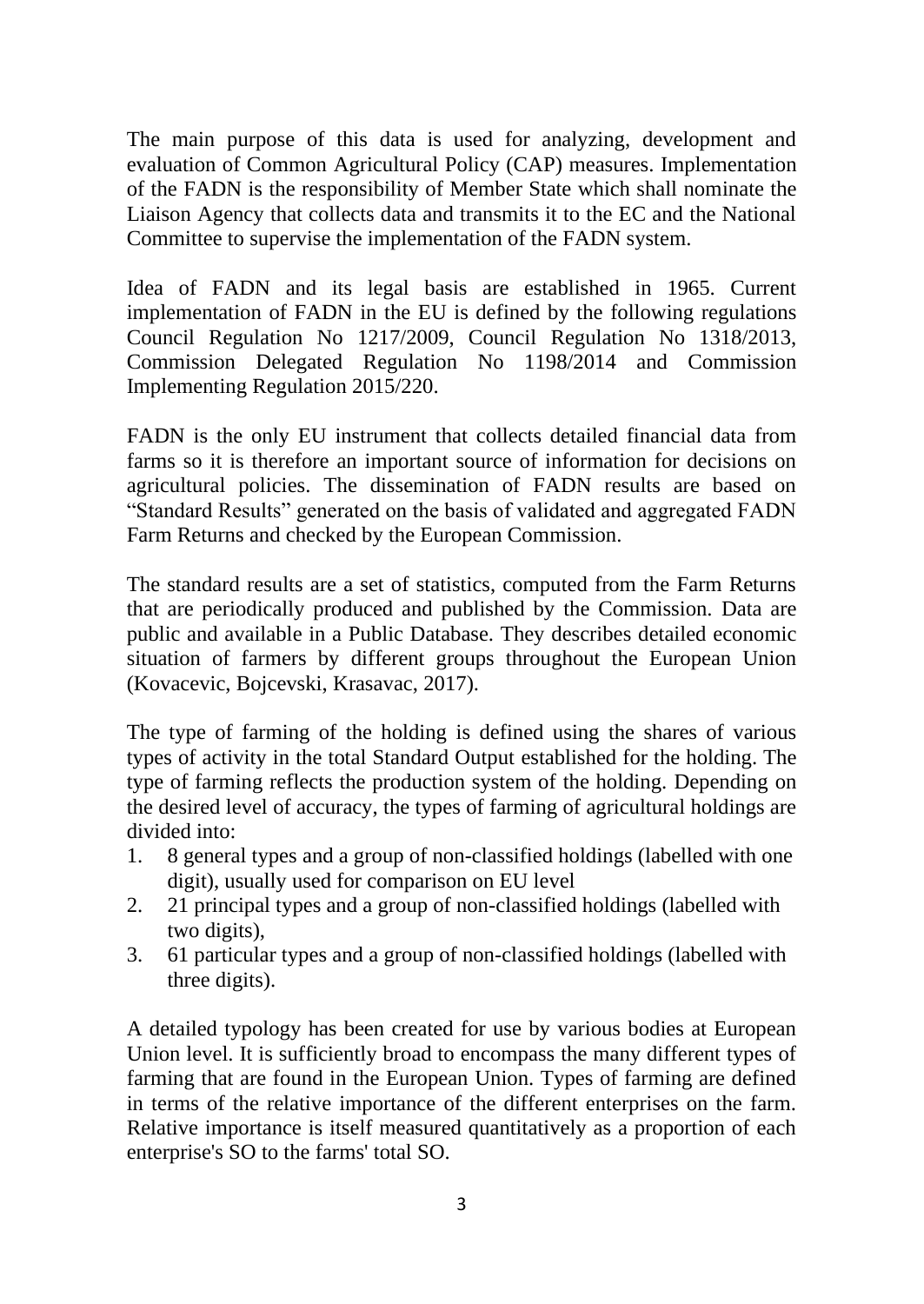The main purpose of this data is used for analyzing, development and evaluation of Common Agricultural Policy (CAP) measures. Implementation of the FADN is the responsibility of Member State which shall nominate the Liaison Agency that collects data and transmits it to the EC and the National Committee to supervise the implementation of the FADN system.

Idea of FADN and its legal basis are established in 1965. Current implementation of FADN in the EU is defined by the following regulations Council Regulation No 1217/2009, Council Regulation No 1318/2013, Commission Delegated Regulation No 1198/2014 and Commission Implementing Regulation 2015/220.

FADN is the only EU instrument that collects detailed financial data from farms so it is therefore an important source of information for decisions on agricultural policies. The dissemination of FADN results are based on "Standard Results" generated on the basis of validated and aggregated FADN Farm Returns and checked by the European Commission.

The standard results are a set of statistics, computed from the Farm Returns that are periodically produced and published by the Commission. Data are public and available in a Public Database. They describes detailed economic situation of farmers by different groups throughout the European Union (Kovacevic, Bojcevski, Krasavac, 2017).

The type of farming of the holding is defined using the shares of various types of activity in the total Standard Output established for the holding. The type of farming reflects the production system of the holding. Depending on the desired level of accuracy, the types of farming of agricultural holdings are divided into:

- 1. 8 general types and a group of non-classified holdings (labelled with one digit), usually used for comparison on EU level
- 2. 21 principal types and a group of non-classified holdings (labelled with two digits),
- 3. 61 particular types and a group of non-classified holdings (labelled with three digits).

A detailed typology has been created for use by various bodies at European Union level. It is sufficiently broad to encompass the many different types of farming that are found in the European Union. Types of farming are defined in terms of the relative importance of the different enterprises on the farm. Relative importance is itself measured quantitatively as a proportion of each enterprise's SO to the farms' total SO.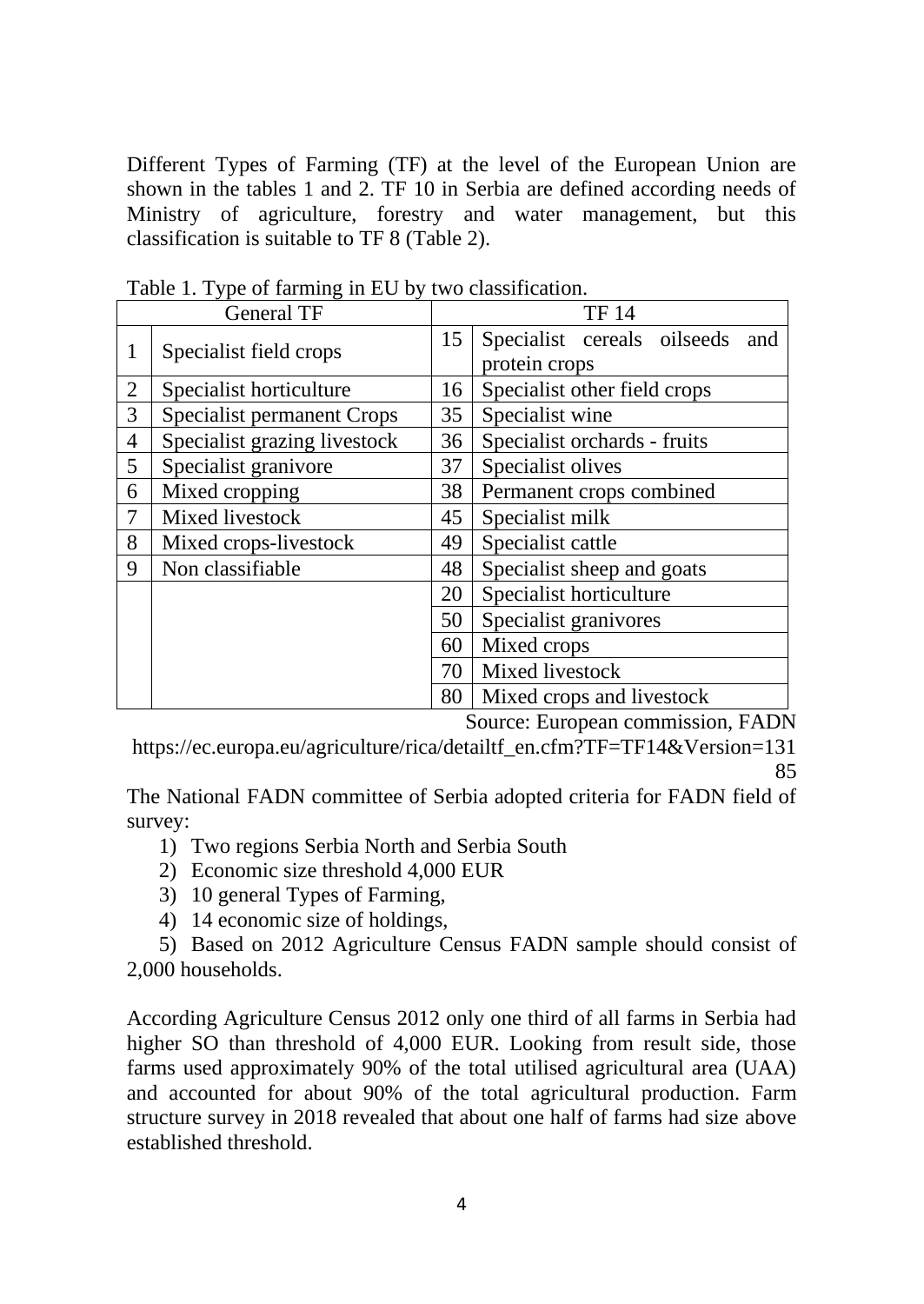Different Types of Farming (TF) at the level of the European Union are shown in the tables 1 and 2. TF 10 in Serbia are defined according needs of Ministry of agriculture, forestry and water management, but this classification is suitable to TF 8 (Table 2).

| <b>General TF</b> |                                   |    | <b>TF 14</b>                       |  |  |  |  |  |
|-------------------|-----------------------------------|----|------------------------------------|--|--|--|--|--|
| 1                 | Specialist field crops            | 15 | Specialist cereals oilseeds<br>and |  |  |  |  |  |
|                   |                                   |    | protein crops                      |  |  |  |  |  |
| $\overline{2}$    | Specialist horticulture           | 16 | Specialist other field crops       |  |  |  |  |  |
| 3                 | <b>Specialist permanent Crops</b> | 35 | Specialist wine                    |  |  |  |  |  |
| 4                 | Specialist grazing livestock      | 36 | Specialist orchards - fruits       |  |  |  |  |  |
| 5                 | Specialist granivore              | 37 | Specialist olives                  |  |  |  |  |  |
| 6                 | Mixed cropping                    | 38 | Permanent crops combined           |  |  |  |  |  |
| 7                 | Mixed livestock                   | 45 | Specialist milk                    |  |  |  |  |  |
| 8                 | Mixed crops-livestock             | 49 | Specialist cattle                  |  |  |  |  |  |
| 9                 | Non classifiable                  | 48 | Specialist sheep and goats         |  |  |  |  |  |
|                   |                                   | 20 | Specialist horticulture            |  |  |  |  |  |
|                   |                                   | 50 | Specialist granivores              |  |  |  |  |  |
|                   |                                   | 60 | Mixed crops                        |  |  |  |  |  |
|                   |                                   | 70 | Mixed livestock                    |  |  |  |  |  |
|                   |                                   | 80 | Mixed crops and livestock          |  |  |  |  |  |

Table 1. Type of farming in EU by two classification.

Source: European commission, FADN

https://ec.europa.eu/agriculture/rica/detailtf\_en.cfm?TF=TF14&Version=131 85

The National FADN committee of Serbia adopted criteria for FADN field of survey:

- 1) Two regions Serbia North and Serbia South
- 2) Economic size threshold 4,000 EUR
- 3) 10 general Types of Farming,
- 4) 14 economic size of holdings,

5) Based on 2012 Agriculture Census FADN sample should consist of 2,000 households.

According Agriculture Census 2012 only one third of all farms in Serbia had higher SO than threshold of 4,000 EUR. Looking from result side, those farms used approximately 90% of the total utilised agricultural area (UAA) and accounted for about 90% of the total agricultural production. Farm structure survey in 2018 revealed that about one half of farms had size above established threshold.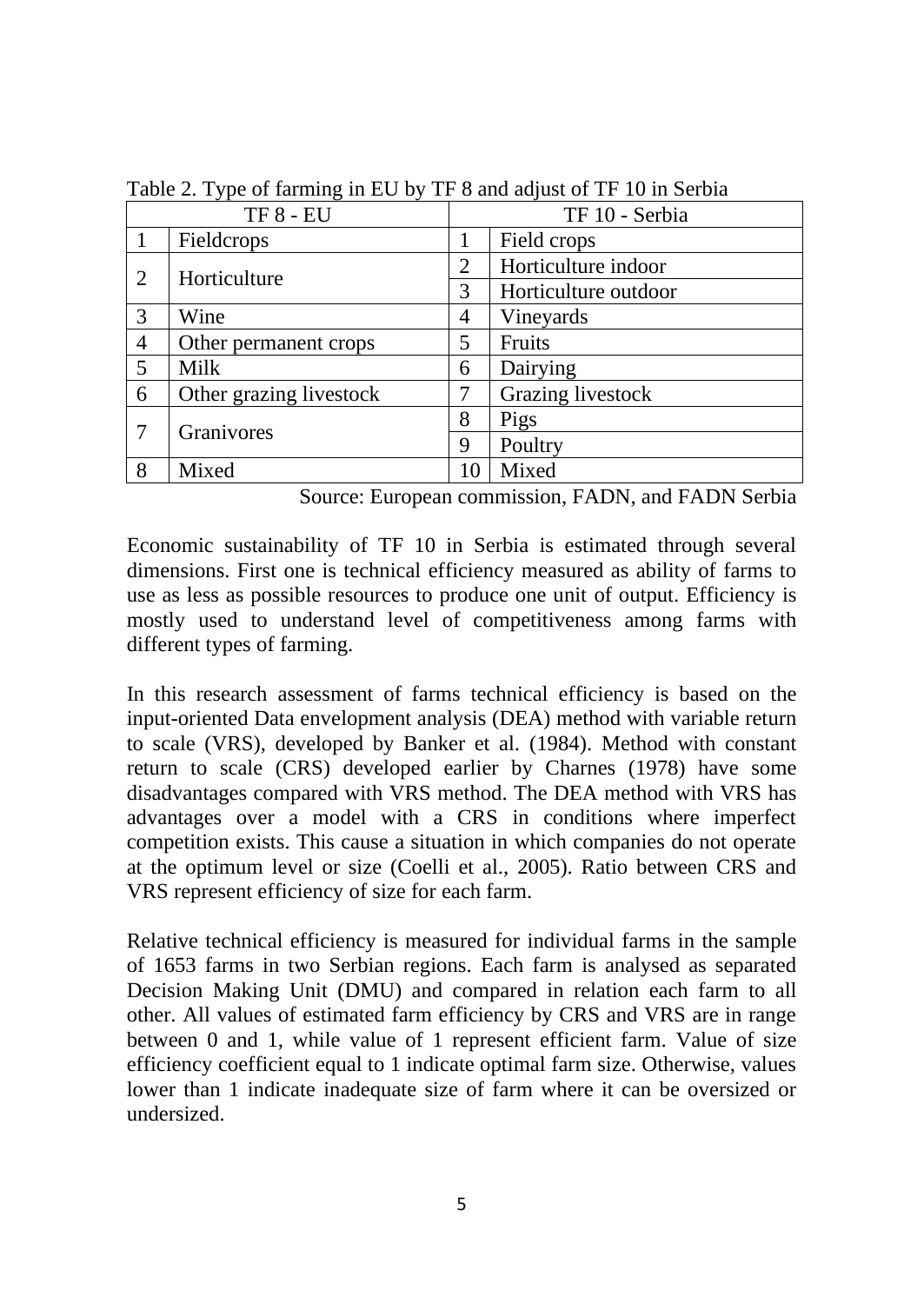| <b>TF 8 - EU</b> |                         | TF 10 - Serbia |                      |  |  |  |
|------------------|-------------------------|----------------|----------------------|--|--|--|
|                  | Fieldcrops              |                | Field crops          |  |  |  |
|                  | Horticulture            | $\overline{2}$ | Horticulture indoor  |  |  |  |
| 2                |                         | 3              | Horticulture outdoor |  |  |  |
| 3                | Wine                    | 4              | Vineyards            |  |  |  |
| $\overline{4}$   | Other permanent crops   | 5              | Fruits               |  |  |  |
| 5                | Milk                    | 6              | Dairying             |  |  |  |
| 6                | Other grazing livestock | 7              | Grazing livestock    |  |  |  |
| $\overline{7}$   | Granivores              | 8              | Pigs                 |  |  |  |
|                  |                         | 9              | Poultry              |  |  |  |
| 8                | Mixed                   | 10             | Mixed                |  |  |  |

Table 2. Type of farming in EU by TF 8 and adjust of TF 10 in Serbia

Source: European commission, FADN, and FADN Serbia

Economic sustainability of TF 10 in Serbia is estimated through several dimensions. First one is technical efficiency measured as ability of farms to use as less as possible resources to produce one unit of output. Efficiency is mostly used to understand level of competitiveness among farms with different types of farming.

In this research assessment of farms technical efficiency is based on the input-oriented Data envelopment analysis (DEA) method with variable return to scale (VRS), developed by Banker et al. (1984). Method with constant return to scale (CRS) developed earlier by Charnes (1978) have some disadvantages compared with VRS method. The DEA method with VRS has advantages over a model with a CRS in conditions where imperfect competition exists. This cause a situation in which companies do not operate at the optimum level or size (Coelli et al., 2005). Ratio between CRS and VRS represent efficiency of size for each farm.

Relative technical efficiency is measured for individual farms in the sample of 1653 farms in two Serbian regions. Each farm is analysed as separated Decision Making Unit (DMU) and compared in relation each farm to all other. All values of estimated farm efficiency by CRS and VRS are in range between 0 and 1, while value of 1 represent efficient farm. Value of size efficiency coefficient equal to 1 indicate optimal farm size. Otherwise, values lower than 1 indicate inadequate size of farm where it can be oversized or undersized.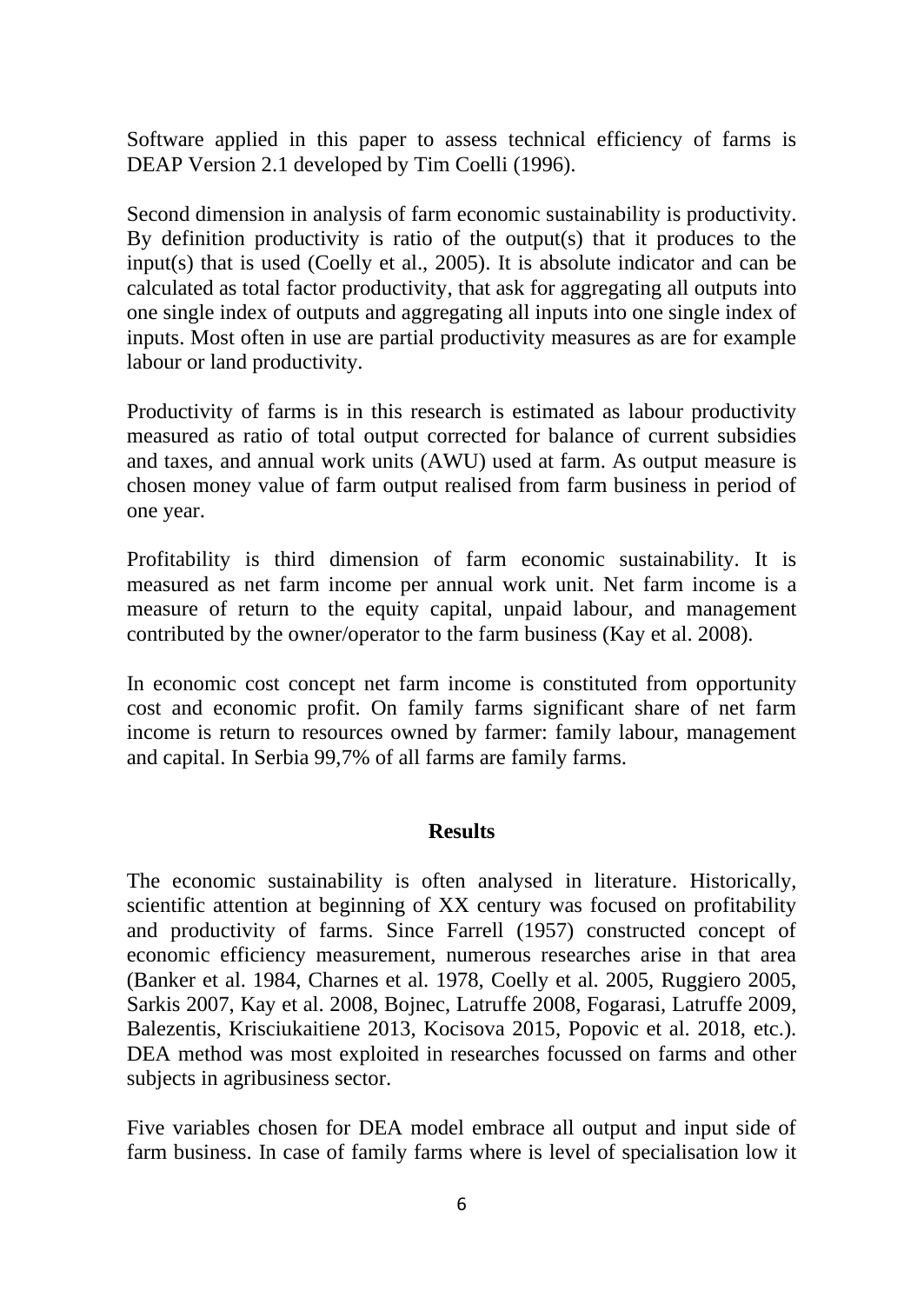Software applied in this paper to assess technical efficiency of farms is DEAP Version 2.1 developed by Tim Coelli (1996).

Second dimension in analysis of farm economic sustainability is productivity. By definition productivity is ratio of the output(s) that it produces to the input(s) that is used (Coelly et al., 2005). It is absolute indicator and can be calculated as total factor productivity, that ask for aggregating all outputs into one single index of outputs and aggregating all inputs into one single index of inputs. Most often in use are partial productivity measures as are for example labour or land productivity.

Productivity of farms is in this research is estimated as labour productivity measured as ratio of total output corrected for balance of current subsidies and taxes, and annual work units (AWU) used at farm. As output measure is chosen money value of farm output realised from farm business in period of one year.

Profitability is third dimension of farm economic sustainability. It is measured as net farm income per annual work unit. Net farm income is a measure of return to the equity capital, unpaid labour, and management contributed by the owner/operator to the farm business (Kay et al. 2008).

In economic cost concept net farm income is constituted from opportunity cost and economic profit. On family farms significant share of net farm income is return to resources owned by farmer: family labour, management and capital. In Serbia 99,7% of all farms are family farms.

### **Results**

The economic sustainability is often analysed in literature. Historically, scientific attention at beginning of XX century was focused on profitability and productivity of farms. Since Farrell (1957) constructed concept of economic efficiency measurement, numerous researches arise in that area (Banker et al. 1984, Charnes et al. 1978, Coelly et al. 2005, Ruggiero 2005, Sarkis 2007, Kay et al. 2008, Bojnec, Latruffe 2008, Fogarasi, Latruffe 2009, Balezentis, Krisciukaitiene 2013, Kocisova 2015, Popovic et al. 2018, etc.). DEA method was most exploited in researches focussed on farms and other subjects in agribusiness sector.

Five variables chosen for DEA model embrace all output and input side of farm business. In case of family farms where is level of specialisation low it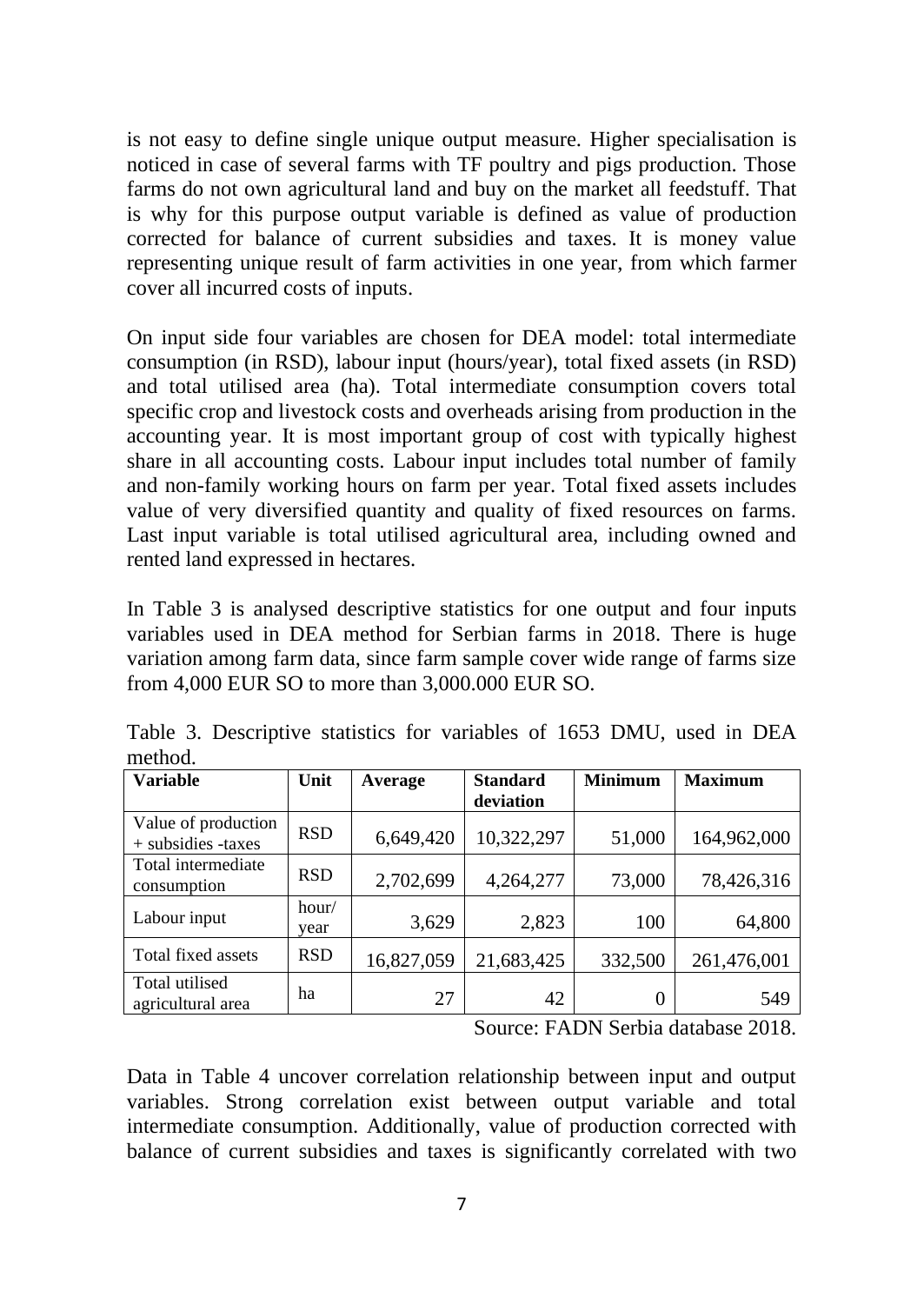is not easy to define single unique output measure. Higher specialisation is noticed in case of several farms with TF poultry and pigs production. Those farms do not own agricultural land and buy on the market all feedstuff. That is why for this purpose output variable is defined as value of production corrected for balance of current subsidies and taxes. It is money value representing unique result of farm activities in one year, from which farmer cover all incurred costs of inputs.

On input side four variables are chosen for DEA model: total intermediate consumption (in RSD), labour input (hours/year), total fixed assets (in RSD) and total utilised area (ha). Total intermediate consumption covers total specific crop and livestock costs and overheads arising from production in the accounting year. It is most important group of cost with typically highest share in all accounting costs. Labour input includes total number of family and non-family working hours on farm per year. Total fixed assets includes value of very diversified quantity and quality of fixed resources on farms. Last input variable is total utilised agricultural area, including owned and rented land expressed in hectares.

In Table 3 is analysed descriptive statistics for one output and four inputs variables used in DEA method for Serbian farms in 2018. There is huge variation among farm data, since farm sample cover wide range of farms size from 4,000 EUR SO to more than 3,000.000 EUR SO.

| <b>Variable</b>                             | Unit          | Average    | <b>Standard</b><br>deviation | <b>Minimum</b> | <b>Maximum</b> |
|---------------------------------------------|---------------|------------|------------------------------|----------------|----------------|
| Value of production<br>$+$ subsidies -taxes | <b>RSD</b>    | 6,649,420  | 10,322,297                   | 51,000         | 164,962,000    |
| Total intermediate<br>consumption           | <b>RSD</b>    | 2,702,699  | 4,264,277                    | 73,000         | 78,426,316     |
| Labour input                                | hour/<br>vear | 3,629      | 2,823                        | 100            | 64,800         |
| Total fixed assets                          | <b>RSD</b>    | 16,827,059 | 21,683,425                   | 332,500        | 261,476,001    |
| Total utilised<br>agricultural area         | ha            | 27         | 42                           |                | 549            |

Table 3. Descriptive statistics for variables of 1653 DMU, used in DEA method.

Source: FADN Serbia database 2018.

Data in Table 4 uncover correlation relationship between input and output variables. Strong correlation exist between output variable and total intermediate consumption. Additionally, value of production corrected with balance of current subsidies and taxes is significantly correlated with two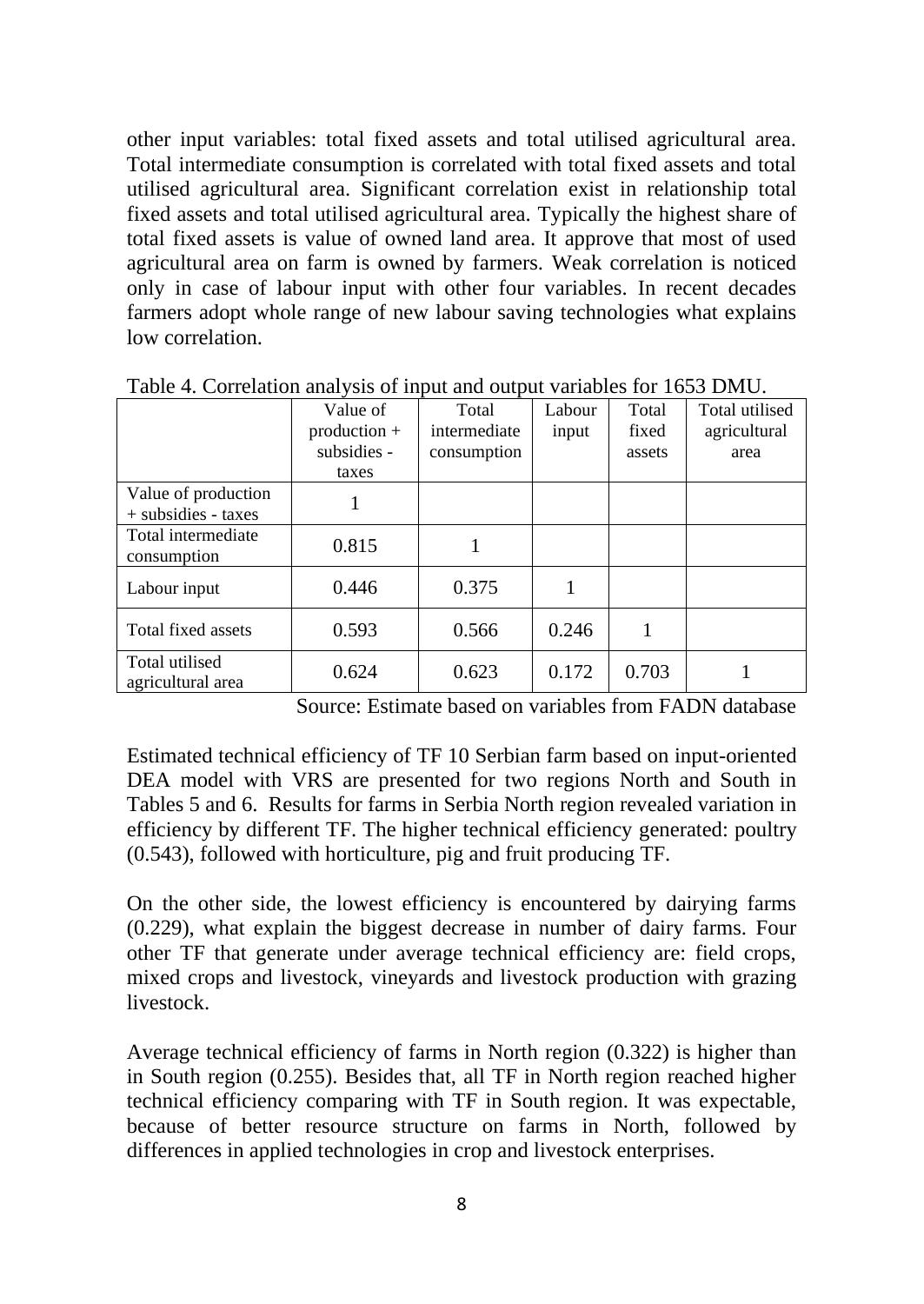other input variables: total fixed assets and total utilised agricultural area. Total intermediate consumption is correlated with total fixed assets and total utilised agricultural area. Significant correlation exist in relationship total fixed assets and total utilised agricultural area. Typically the highest share of total fixed assets is value of owned land area. It approve that most of used agricultural area on farm is owned by farmers. Weak correlation is noticed only in case of labour input with other four variables. In recent decades farmers adopt whole range of new labour saving technologies what explains low correlation.

|                                              | Value of<br>$production +$ | Total<br>intermediate | Labour<br>input | Total<br>fixed | Total utilised<br>agricultural |
|----------------------------------------------|----------------------------|-----------------------|-----------------|----------------|--------------------------------|
|                                              | subsidies -                | consumption           |                 | assets         | area                           |
| Value of production<br>$+$ subsidies - taxes | taxes                      |                       |                 |                |                                |
| Total intermediate<br>consumption            | 0.815                      |                       |                 |                |                                |
| Labour input                                 | 0.446                      | 0.375                 |                 |                |                                |
| Total fixed assets                           | 0.593                      | 0.566                 | 0.246           |                |                                |
| Total utilised<br>agricultural area          | 0.624                      | 0.623                 | 0.172           | 0.703          |                                |

Table 4. Correlation analysis of input and output variables for 1653 DMU.

Source: Estimate based on variables from FADN database

Estimated technical efficiency of TF 10 Serbian farm based on input-oriented DEA model with VRS are presented for two regions North and South in Tables 5 and 6. Results for farms in Serbia North region revealed variation in efficiency by different TF. The higher technical efficiency generated: poultry (0.543), followed with horticulture, pig and fruit producing TF.

On the other side, the lowest efficiency is encountered by dairying farms (0.229), what explain the biggest decrease in number of dairy farms. Four other TF that generate under average technical efficiency are: field crops, mixed crops and livestock, vineyards and livestock production with grazing livestock.

Average technical efficiency of farms in North region (0.322) is higher than in South region (0.255). Besides that, all TF in North region reached higher technical efficiency comparing with TF in South region. It was expectable, because of better resource structure on farms in North, followed by differences in applied technologies in crop and livestock enterprises.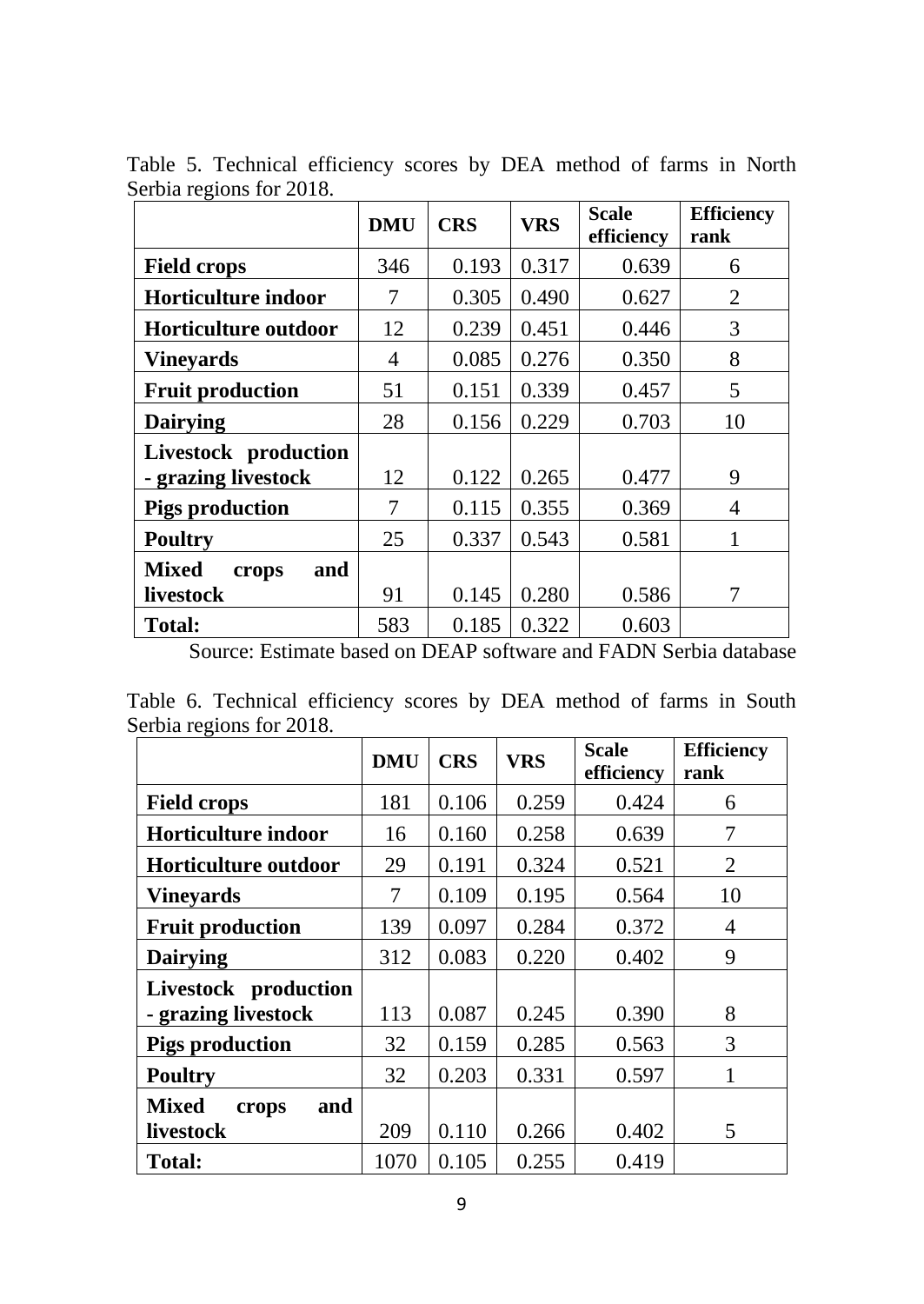|                              | <b>DMU</b> | <b>CRS</b> | <b>VRS</b> | <b>Scale</b><br>efficiency | <b>Efficiency</b><br>rank |
|------------------------------|------------|------------|------------|----------------------------|---------------------------|
| <b>Field crops</b>           | 346        | 0.193      | 0.317      | 0.639                      | 6                         |
| Horticulture indoor          | 7          | 0.305      | 0.490      | 0.627                      | $\overline{2}$            |
| <b>Horticulture outdoor</b>  | 12         | 0.239      | 0.451      | 0.446                      | 3                         |
| <b>Vineyards</b>             | 4          | 0.085      | 0.276      | 0.350                      | 8                         |
| <b>Fruit production</b>      | 51         | 0.151      | 0.339      | 0.457                      | 5                         |
| <b>Dairying</b>              | 28         | 0.156      | 0.229      | 0.703                      | 10                        |
| Livestock production         |            |            |            |                            |                           |
| - grazing livestock          | 12         | 0.122      | 0.265      | 0.477                      | 9                         |
| <b>Pigs production</b>       | 7          | 0.115      | 0.355      | 0.369                      | 4                         |
| <b>Poultry</b>               | 25         | 0.337      | 0.543      | 0.581                      |                           |
| <b>Mixed</b><br>and<br>crops |            |            |            |                            |                           |
| livestock                    | 91         | 0.145      | 0.280      | 0.586                      | 7                         |
| <b>Total:</b>                | 583        | 0.185      | 0.322      | 0.603                      |                           |

Table 5. Technical efficiency scores by DEA method of farms in North Serbia regions for 2018.

Source: Estimate based on DEAP software and FADN Serbia database

Table 6. Technical efficiency scores by DEA method of farms in South Serbia regions for 2018.

|                              | <b>DMU</b> | <b>CRS</b> | <b>VRS</b> | Scale<br>efficiency | <b>Efficiency</b><br>rank |
|------------------------------|------------|------------|------------|---------------------|---------------------------|
| <b>Field crops</b>           | 181        | 0.106      | 0.259      | 0.424               | 6                         |
| <b>Horticulture indoor</b>   | 16         | 0.160      | 0.258      | 0.639               | 7                         |
| Horticulture outdoor         | 29         | 0.191      | 0.324      | 0.521               | $\overline{2}$            |
| <b>Vineyards</b>             | 7          | 0.109      | 0.195      | 0.564               | 10                        |
| <b>Fruit production</b>      | 139        | 0.097      | 0.284      | 0.372               | 4                         |
| <b>Dairying</b>              | 312        | 0.083      | 0.220      | 0.402               | 9                         |
| Livestock production         |            |            |            |                     |                           |
| - grazing livestock          | 113        | 0.087      | 0.245      | 0.390               | 8                         |
| <b>Pigs production</b>       | 32         | 0.159      | 0.285      | 0.563               | 3                         |
| <b>Poultry</b>               | 32         | 0.203      | 0.331      | 0.597               |                           |
| <b>Mixed</b><br>and<br>crops |            |            |            |                     |                           |
| livestock                    | 209        | 0.110      | 0.266      | 0.402               | 5                         |
| <b>Total:</b>                | 1070       | 0.105      | 0.255      | 0.419               |                           |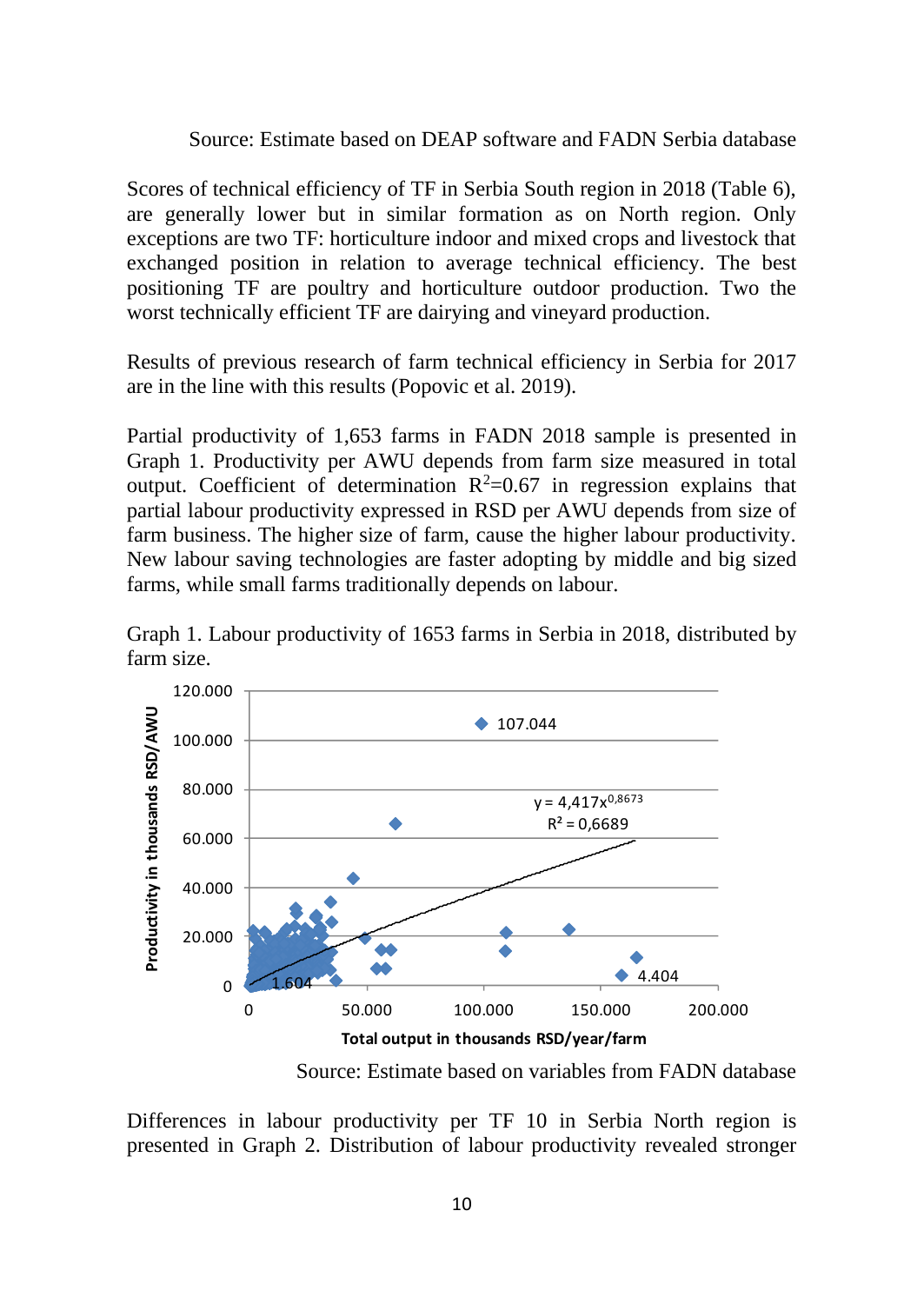#### Source: Estimate based on DEAP software and FADN Serbia database

Scores of technical efficiency of TF in Serbia South region in 2018 (Table 6), are generally lower but in similar formation as on North region. Only exceptions are two TF: horticulture indoor and mixed crops and livestock that exchanged position in relation to average technical efficiency. The best positioning TF are poultry and horticulture outdoor production. Two the worst technically efficient TF are dairying and vineyard production.

Results of previous research of farm technical efficiency in Serbia for 2017 are in the line with this results (Popovic et al. 2019).

Partial productivity of 1,653 farms in FADN 2018 sample is presented in Graph 1. Productivity per AWU depends from farm size measured in total output. Coefficient of determination  $R^2=0.67$  in regression explains that partial labour productivity expressed in RSD per AWU depends from size of farm business. The higher size of farm, cause the higher labour productivity. New labour saving technologies are faster adopting by middle and big sized farms, while small farms traditionally depends on labour.



Graph 1. Labour productivity of 1653 farms in Serbia in 2018, distributed by farm size.

Source: Estimate based on variables from FADN database

Differences in labour productivity per TF 10 in Serbia North region is presented in Graph 2. Distribution of labour productivity revealed stronger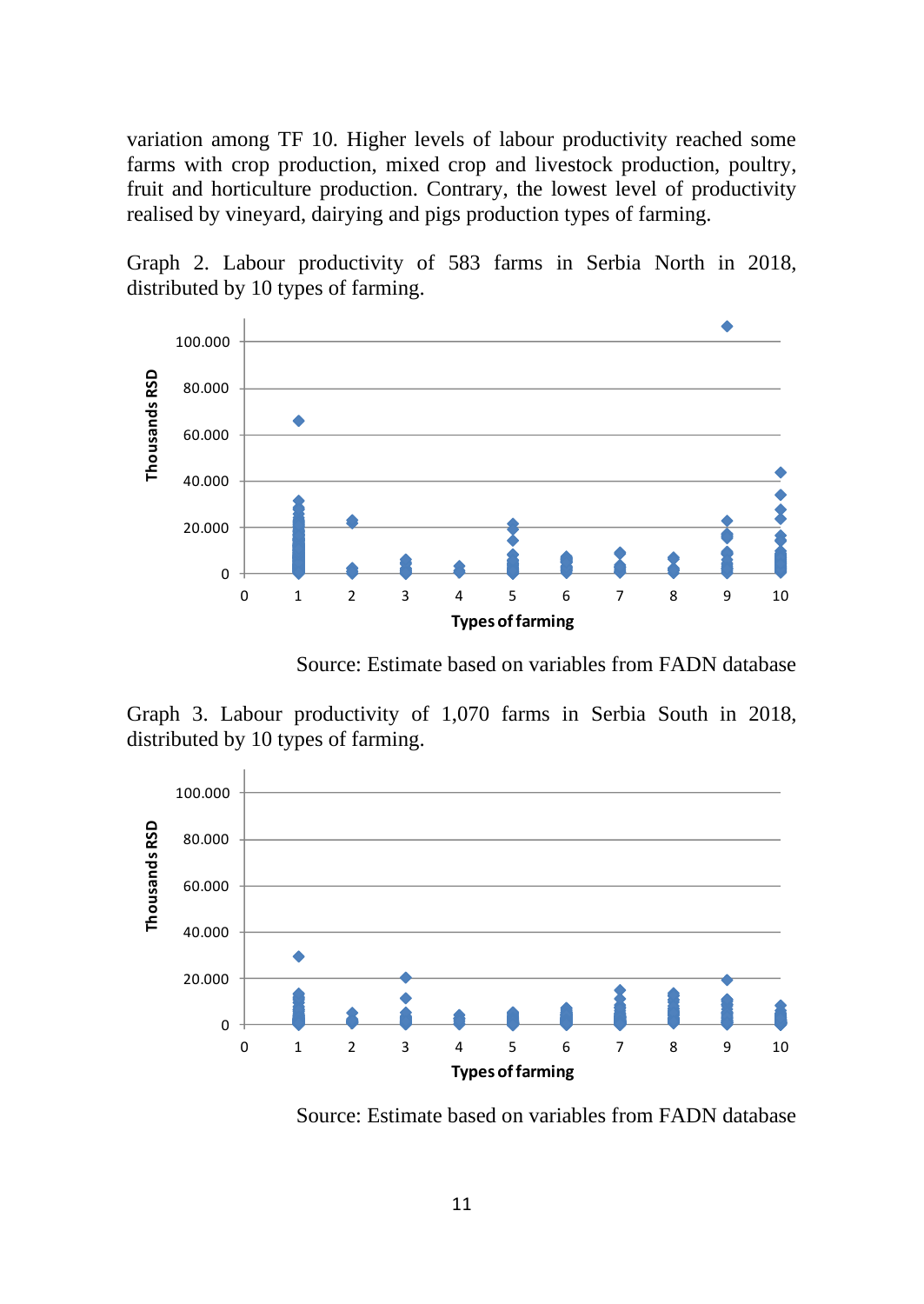variation among TF 10. Higher levels of labour productivity reached some farms with crop production, mixed crop and livestock production, poultry, fruit and horticulture production. Contrary, the lowest level of productivity realised by vineyard, dairying and pigs production types of farming.

Graph 2. Labour productivity of 583 farms in Serbia North in 2018, distributed by 10 types of farming.



Source: Estimate based on variables from FADN database

Graph 3. Labour productivity of 1,070 farms in Serbia South in 2018, distributed by 10 types of farming.



Source: Estimate based on variables from FADN database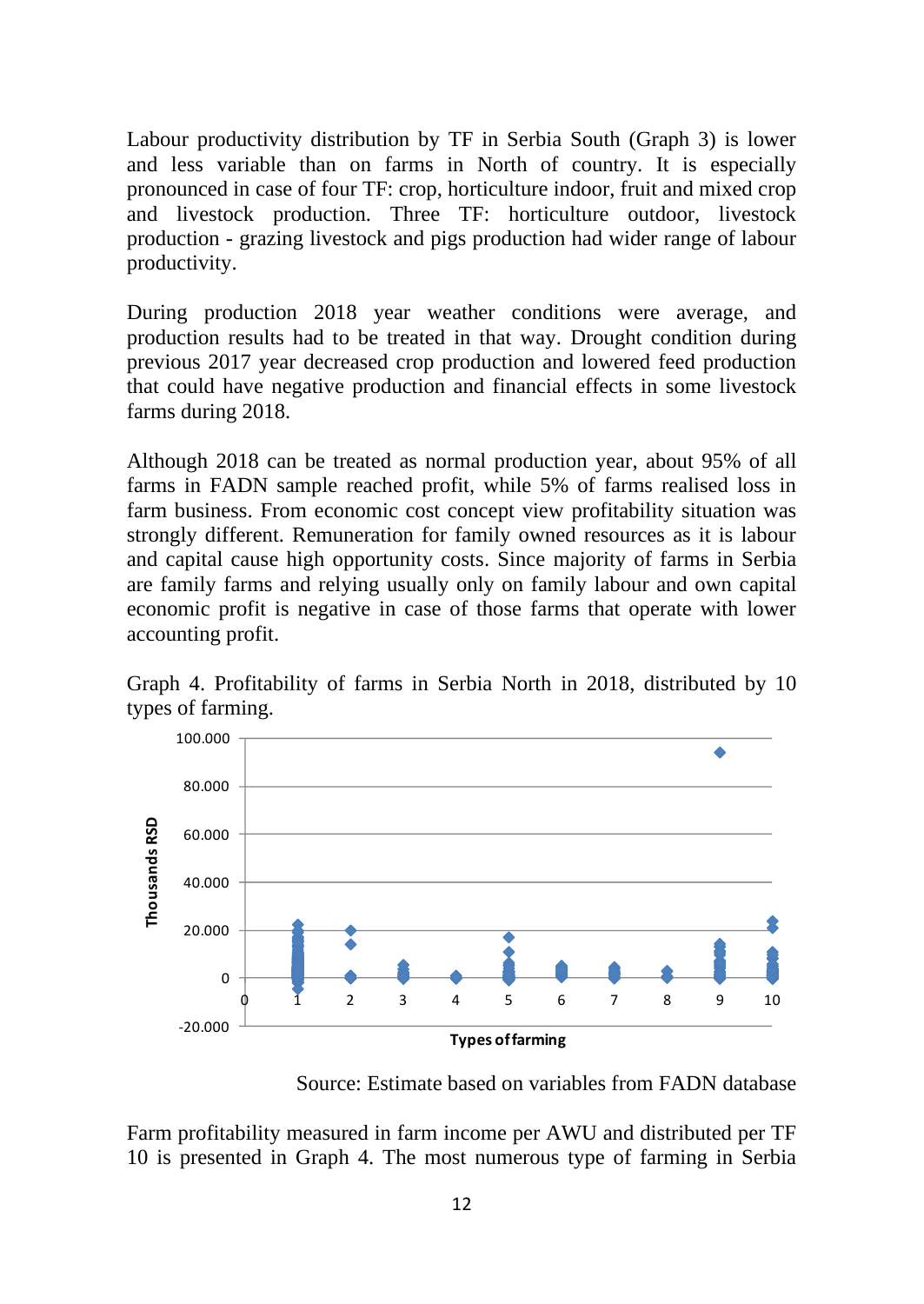Labour productivity distribution by TF in Serbia South (Graph 3) is lower and less variable than on farms in North of country. It is especially pronounced in case of four TF: crop, horticulture indoor, fruit and mixed crop and livestock production. Three TF: horticulture outdoor, livestock production - grazing livestock and pigs production had wider range of labour productivity.

During production 2018 year weather conditions were average, and production results had to be treated in that way. Drought condition during previous 2017 year decreased crop production and lowered feed production that could have negative production and financial effects in some livestock farms during 2018.

Although 2018 can be treated as normal production year, about 95% of all farms in FADN sample reached profit, while 5% of farms realised loss in farm business. From economic cost concept view profitability situation was strongly different. Remuneration for family owned resources as it is labour and capital cause high opportunity costs. Since majority of farms in Serbia are family farms and relying usually only on family labour and own capital economic profit is negative in case of those farms that operate with lower accounting profit.

Graph 4. Profitability of farms in Serbia North in 2018, distributed by 10 types of farming.



Source: Estimate based on variables from FADN database

Farm profitability measured in farm income per AWU and distributed per TF 10 is presented in Graph 4. The most numerous type of farming in Serbia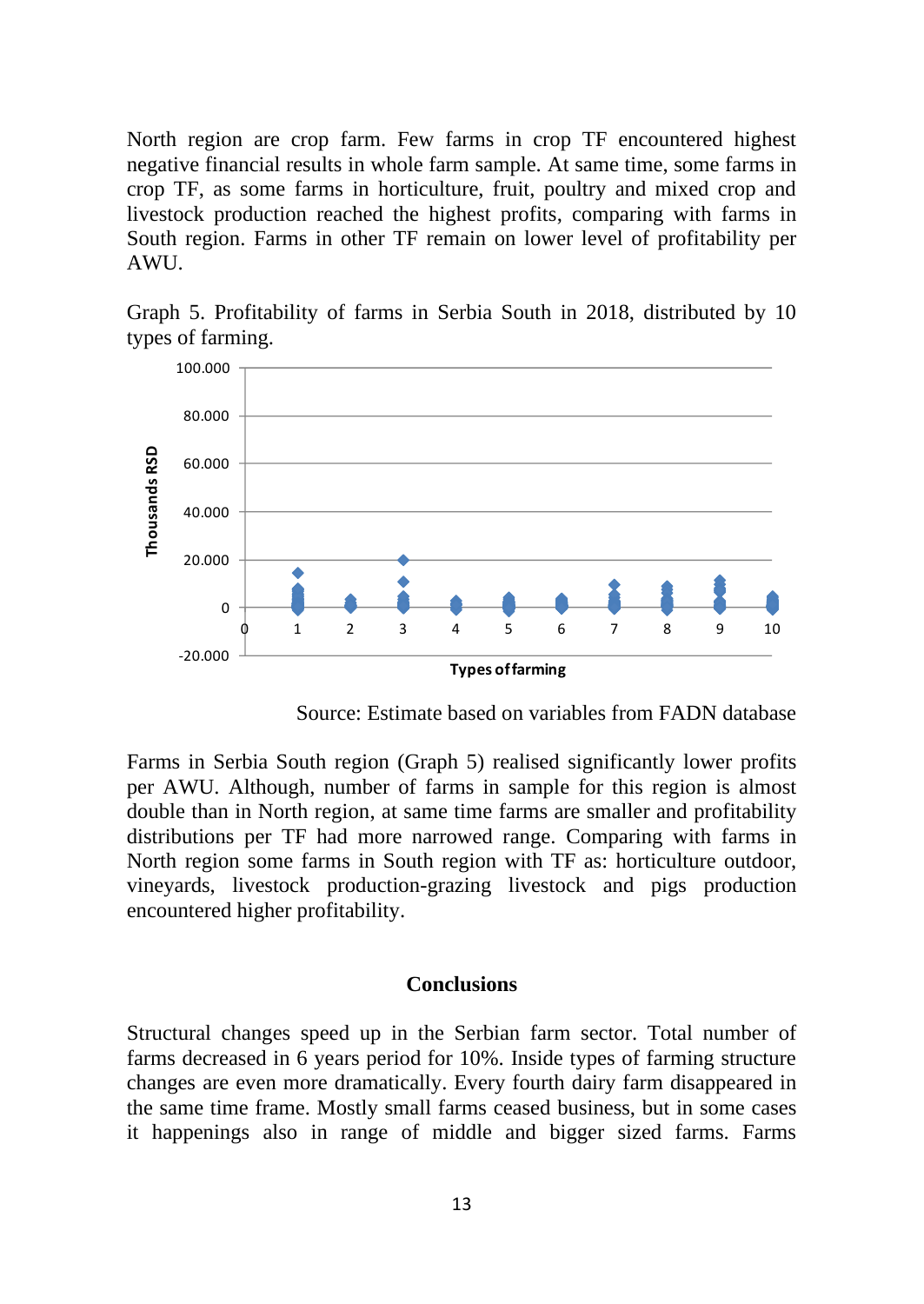North region are crop farm. Few farms in crop TF encountered highest negative financial results in whole farm sample. At same time, some farms in crop TF, as some farms in horticulture, fruit, poultry and mixed crop and livestock production reached the highest profits, comparing with farms in South region. Farms in other TF remain on lower level of profitability per AWU.

Graph 5. Profitability of farms in Serbia South in 2018, distributed by 10 types of farming.



Source: Estimate based on variables from FADN database

Farms in Serbia South region (Graph 5) realised significantly lower profits per AWU. Although, number of farms in sample for this region is almost double than in North region, at same time farms are smaller and profitability distributions per TF had more narrowed range. Comparing with farms in North region some farms in South region with TF as: horticulture outdoor, vineyards, livestock production-grazing livestock and pigs production encountered higher profitability.

#### **Conclusions**

Structural changes speed up in the Serbian farm sector. Total number of farms decreased in 6 years period for 10%. Inside types of farming structure changes are even more dramatically. Every fourth dairy farm disappeared in the same time frame. Mostly small farms ceased business, but in some cases it happenings also in range of middle and bigger sized farms. Farms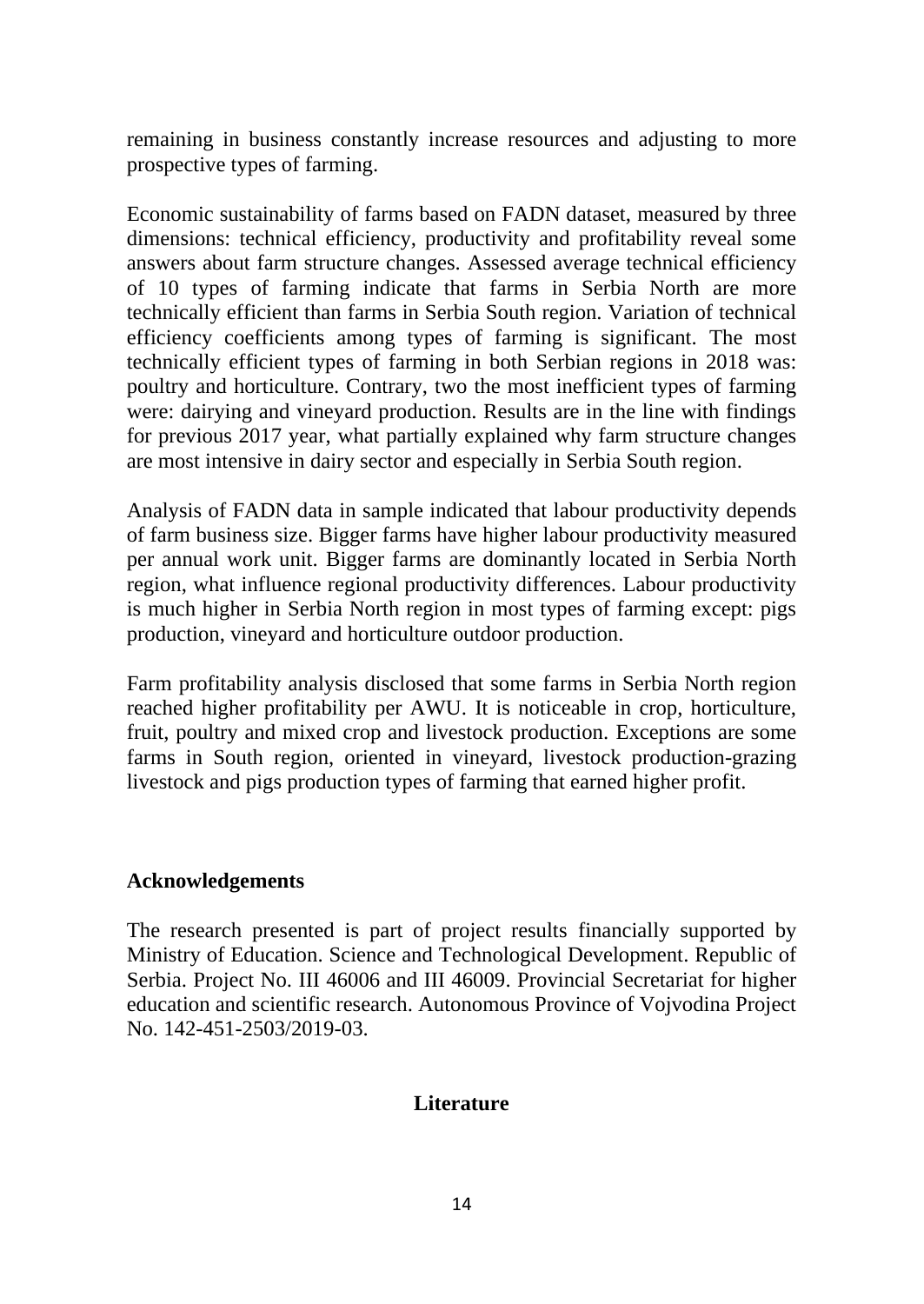remaining in business constantly increase resources and adjusting to more prospective types of farming.

Economic sustainability of farms based on FADN dataset, measured by three dimensions: technical efficiency, productivity and profitability reveal some answers about farm structure changes. Assessed average technical efficiency of 10 types of farming indicate that farms in Serbia North are more technically efficient than farms in Serbia South region. Variation of technical efficiency coefficients among types of farming is significant. The most technically efficient types of farming in both Serbian regions in 2018 was: poultry and horticulture. Contrary, two the most inefficient types of farming were: dairying and vineyard production. Results are in the line with findings for previous 2017 year, what partially explained why farm structure changes are most intensive in dairy sector and especially in Serbia South region.

Analysis of FADN data in sample indicated that labour productivity depends of farm business size. Bigger farms have higher labour productivity measured per annual work unit. Bigger farms are dominantly located in Serbia North region, what influence regional productivity differences. Labour productivity is much higher in Serbia North region in most types of farming except: pigs production, vineyard and horticulture outdoor production.

Farm profitability analysis disclosed that some farms in Serbia North region reached higher profitability per AWU. It is noticeable in crop, horticulture, fruit, poultry and mixed crop and livestock production. Exceptions are some farms in South region, oriented in vineyard, livestock production-grazing livestock and pigs production types of farming that earned higher profit.

### **Acknowledgements**

The research presented is part of project results financially supported by Ministry of Education. Science and Technological Development. Republic of Serbia. Project No. III 46006 and III 46009. Provincial Secretariat for higher education and scientific research. Autonomous Province of Vojvodina Project No. 142-451-2503/2019-03.

# **Literature**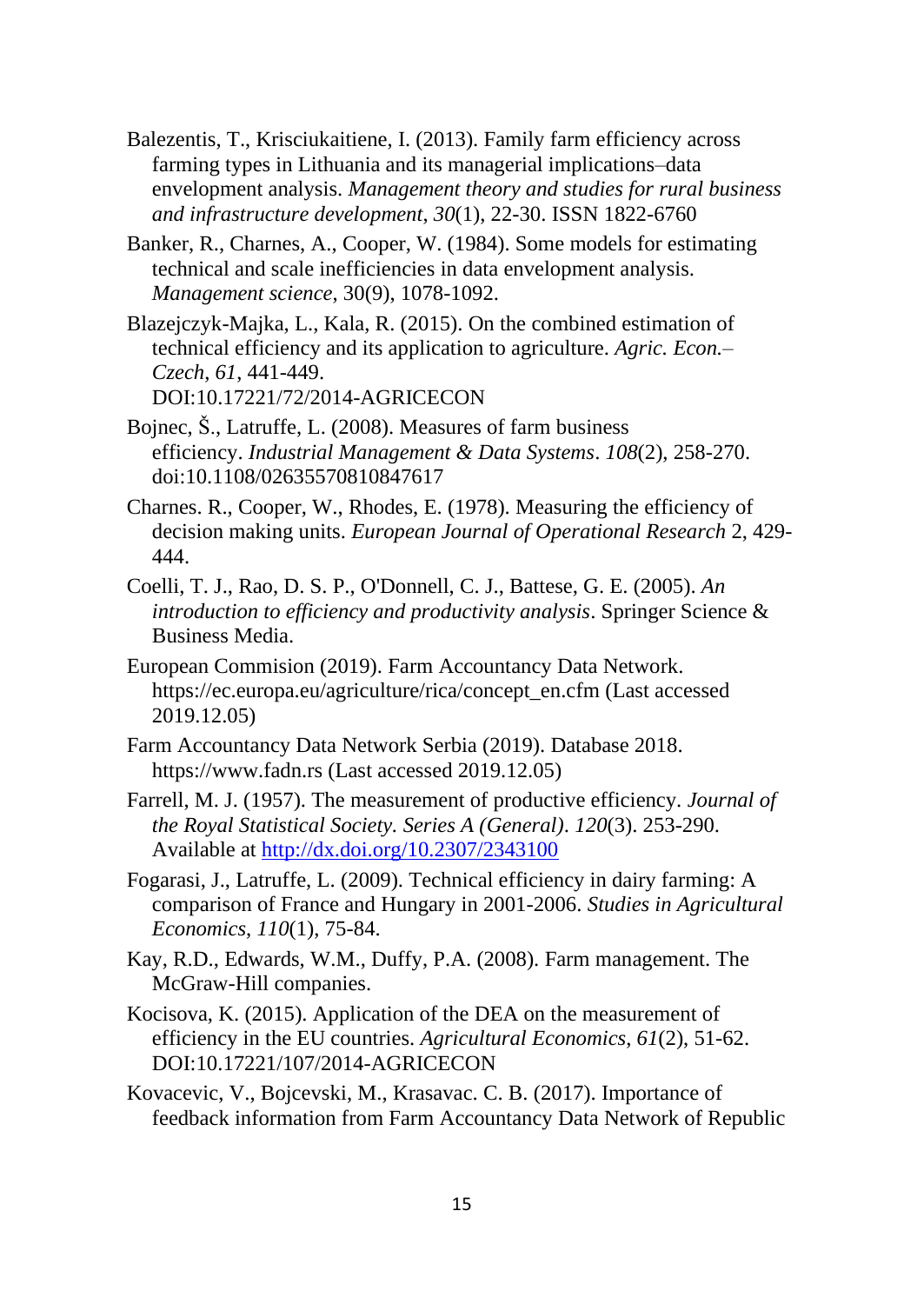- Balezentis, T., Krisciukaitiene, I. (2013). Family farm efficiency across farming types in Lithuania and its managerial implications–data envelopment analysis. *Management theory and studies for rural business and infrastructure development*, *30*(1), 22-30. ISSN 1822-6760
- Banker, R., Charnes, A., Cooper, W. (1984). Some models for estimating technical and scale inefficiencies in data envelopment analysis. *Management science*, 30(9), 1078-1092.
- Blazejczyk-Majka, L., Kala, R. (2015). On the combined estimation of technical efficiency and its application to agriculture. *Agric. Econ.– Czech*, *61*, 441-449. DOI:10.17221/72/2014-AGRICECON
- Bojnec, Š., Latruffe, L. (2008). Measures of farm business efficiency. *Industrial Management & Data Systems*. *108*(2), 258-270. doi:10.1108/02635570810847617
- Charnes. R., Cooper, W., Rhodes, E. (1978). Measuring the efficiency of decision making units. *European Journal of Operational Research* 2, 429- 444.
- Coelli, T. J., Rao, D. S. P., O'Donnell, C. J., Battese, G. E. (2005). *An introduction to efficiency and productivity analysis*. Springer Science & Business Media.
- European Commision (2019). Farm Accountancy Data Network. https://ec.europa.eu/agriculture/rica/concept\_en.cfm (Last accessed 2019.12.05)
- Farm Accountancy Data Network Serbia (2019). Database 2018. https://www.fadn.rs (Last accessed 2019.12.05)
- Farrell, M. J. (1957). The measurement of productive efficiency. *Journal of the Royal Statistical Society. Series A (General)*. *120*(3). 253-290. Available at<http://dx.doi.org/10.2307/2343100>
- Fogarasi, J., Latruffe, L. (2009). Technical efficiency in dairy farming: A comparison of France and Hungary in 2001-2006. *Studies in Agricultural Economics*, *110*(1), 75-84.
- Kay, R.D., Edwards, W.M., Duffy, P.A. (2008). Farm management. The McGraw-Hill companies.
- Kocisova, K. (2015). Application of the DEA on the measurement of efficiency in the EU countries. *Agricultural Economics*, *61*(2), 51-62. DOI:10.17221/107/2014-AGRICECON
- Kovacevic, V., Bojcevski, M., Krasavac. C. B. (2017). Importance of feedback information from Farm Accountancy Data Network of Republic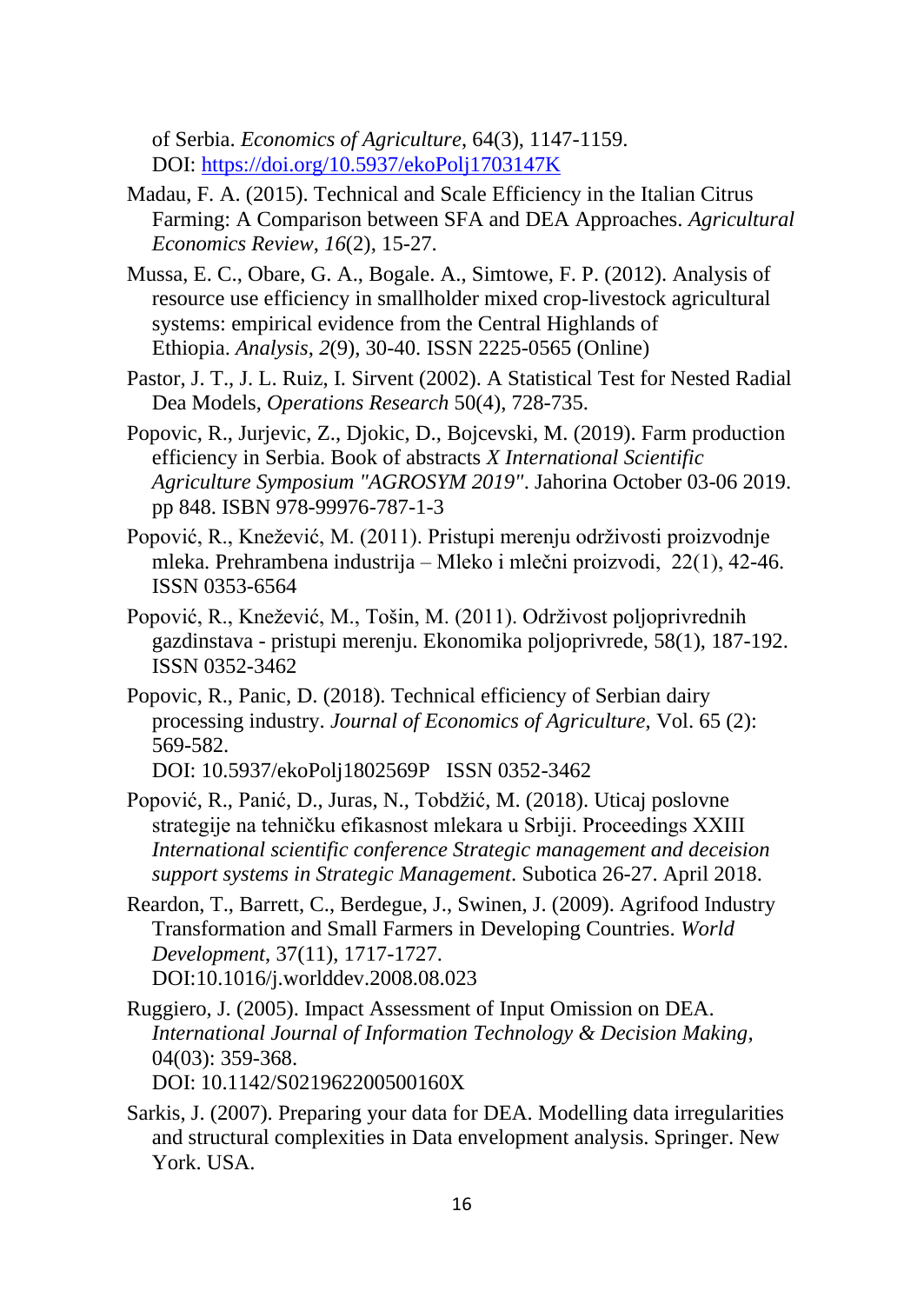of Serbia. *Economics of Agriculture*, 64(3), 1147-1159. DOI: <https://doi.org/10.5937/ekoPolj1703147K>

- Madau, F. A. (2015). Technical and Scale Efficiency in the Italian Citrus Farming: A Comparison between SFA and DEA Approaches. *Agricultural Economics Review*, *16*(2), 15-27.
- Mussa, E. C., Obare, G. A., Bogale. A., Simtowe, F. P. (2012). Analysis of resource use efficiency in smallholder mixed crop-livestock agricultural systems: empirical evidence from the Central Highlands of Ethiopia. *Analysis*, *2*(9), 30-40. ISSN 2225-0565 (Online)
- Pastor, J. T., J. L. Ruiz, I. Sirvent (2002). A Statistical Test for Nested Radial Dea Models, *Operations Research* 50(4), 728-735.
- Popovic, R., Jurjevic, Z., Djokic, D., Bojcevski, M. (2019). Farm production efficiency in Serbia. Book of abstracts *X International Scientific Agriculture Symposium "AGROSYM 2019"*. Jahorina October 03-06 2019. pp 848. ISBN 978-99976-787-1-3
- Popović, R., Knežević, M. (2011). Pristupi merenju održivosti proizvodnje mleka. Prehrambena industrija – Mleko i mlečni proizvodi, 22(1), 42-46. ISSN 0353-6564
- Popović, R., Knežević, M., Tošin, M. (2011). Održivost poljoprivrednih gazdinstava - pristupi merenju. Ekonomika poljoprivrede, 58(1), 187-192. ISSN 0352-3462
- Popovic, R., Panic, D. (2018). Technical efficiency of Serbian dairy processing industry. *Journal of Economics of Agriculture*, Vol. 65 (2): 569-582.

DOI: 10.5937/ekoPolj1802569P ISSN 0352-3462

- Popović, R., Panić, D., Juras, N., Tobdžić, M. (2018). Uticaj poslovne strategije na tehničku efikasnost mlekara u Srbiji. Proceedings XXIII *International scientific conference Strategic management and deceision support systems in Strategic Management*. Subotica 26-27. April 2018.
- Reardon, T., Barrett, C., Berdegue, J., Swinen, J. (2009). Agrifood Industry Transformation and Small Farmers in Developing Countries. *[World](https://www.sciencedirect.com/science/journal/0305750X)  [Development](https://www.sciencedirect.com/science/journal/0305750X)*, 37(11), 1717-1727. DOI:10.1016/j.worlddev.2008.08.023
- Ruggiero, J. (2005). Impact Assessment of Input Omission on DEA. *International Journal of Information Technology & Decision Making,* 04(03): 359-368. DOI: 10.1142/S021962200500160X
- Sarkis, J. (2007). Preparing your data for DEA. Modelling data irregularities and structural complexities in Data envelopment analysis. Springer. New York. USA.